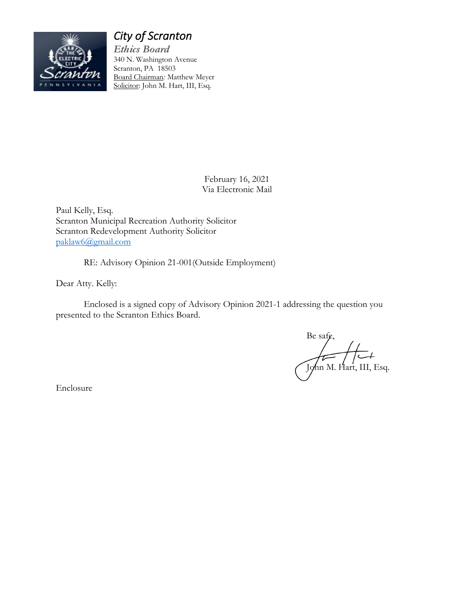

# *City of Scranton*

*Ethics Board* 340 N. Washington Avenue Scranton, PA 18503 Board Chairman*:* Matthew Meyer Solicitor: John M. Hart, III, Esq.

> February 16, 2021 Via Electronic Mail

Paul Kelly, Esq. Scranton Municipal Recreation Authority Solicitor Scranton Redevelopment Authority Solicitor paklaw6@gmail.com

RE: Advisory Opinion 21-001(Outside Employment)

Dear Atty. Kelly:

Enclosed is a signed copy of Advisory Opinion 2021-1 addressing the question you presented to the Scranton Ethics Board.

Be safe,  $\int \sqrt{\frac{1}{\text{M}}}}$  M. Hart, III, Esq.

Enclosure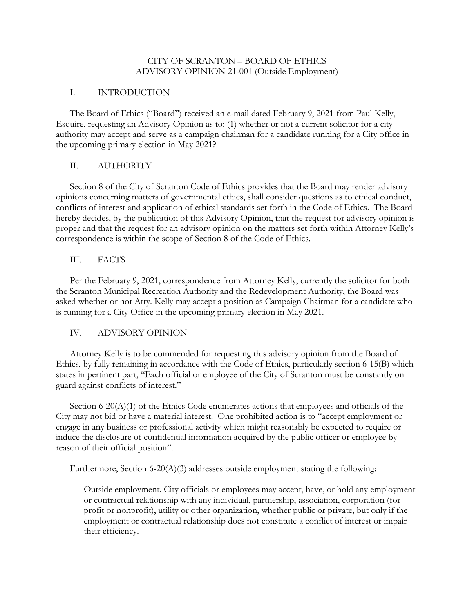### CITY OF SCRANTON – BOARD OF ETHICS ADVISORY OPINION 21-001 (Outside Employment)

### I. INTRODUCTION

The Board of Ethics ("Board") received an e-mail dated February 9, 2021 from Paul Kelly, Esquire, requesting an Advisory Opinion as to: (1) whether or not a current solicitor for a city authority may accept and serve as a campaign chairman for a candidate running for a City office in the upcoming primary election in May 2021?

# II. AUTHORITY

Section 8 of the City of Scranton Code of Ethics provides that the Board may render advisory opinions concerning matters of governmental ethics, shall consider questions as to ethical conduct, conflicts of interest and application of ethical standards set forth in the Code of Ethics. The Board hereby decides, by the publication of this Advisory Opinion, that the request for advisory opinion is proper and that the request for an advisory opinion on the matters set forth within Attorney Kelly's correspondence is within the scope of Section 8 of the Code of Ethics.

# III. FACTS

Per the February 9, 2021, correspondence from Attorney Kelly, currently the solicitor for both the Scranton Municipal Recreation Authority and the Redevelopment Authority, the Board was asked whether or not Atty. Kelly may accept a position as Campaign Chairman for a candidate who is running for a City Office in the upcoming primary election in May 2021.

# IV. ADVISORY OPINION

Attorney Kelly is to be commended for requesting this advisory opinion from the Board of Ethics, by fully remaining in accordance with the Code of Ethics, particularly section 6-15(B) which states in pertinent part, "Each official or employee of the City of Scranton must be constantly on guard against conflicts of interest."

Section 6-20(A)(1) of the Ethics Code enumerates actions that employees and officials of the City may not bid or have a material interest. One prohibited action is to "accept employment or engage in any business or professional activity which might reasonably be expected to require or induce the disclosure of confidential information acquired by the public officer or employee by reason of their official position".

Furthermore, Section 6-20(A)(3) addresses outside employment stating the following:

Outside employment. City officials or employees may accept, have, or hold any employment or contractual relationship with any individual, partnership, association, corporation (forprofit or nonprofit), utility or other organization, whether public or private, but only if the employment or contractual relationship does not constitute a conflict of interest or impair their efficiency.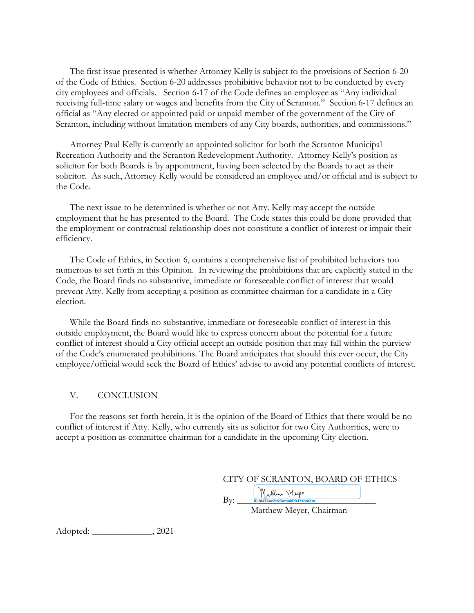The first issue presented is whether Attorney Kelly is subject to the provisions of Section 6-20 of the Code of Ethics. Section 6-20 addresses prohibitive behavior not to be conducted by every city employees and officials. Section 6-17 of the Code defines an employee as "Any individual receiving full-time salary or wages and benefits from the City of Scranton." Section 6-17 defines an official as "Any elected or appointed paid or unpaid member of the government of the City of Scranton, including without limitation members of any City boards, authorities, and commissions."

Attorney Paul Kelly is currently an appointed solicitor for both the Scranton Municipal Recreation Authority and the Scranton Redevelopment Authority. Attorney Kelly's position as solicitor for both Boards is by appointment, having been selected by the Boards to act as their solicitor. As such, Attorney Kelly would be considered an employee and/or official and is subject to the Code.

The next issue to be determined is whether or not Atty. Kelly may accept the outside employment that he has presented to the Board. The Code states this could be done provided that the employment or contractual relationship does not constitute a conflict of interest or impair their efficiency.

The Code of Ethics, in Section 6, contains a comprehensive list of prohibited behaviors too numerous to set forth in this Opinion. In reviewing the prohibitions that are explicitly stated in the Code, the Board finds no substantive, immediate or foreseeable conflict of interest that would prevent Atty. Kelly from accepting a position as committee chairman for a candidate in a City election.

While the Board finds no substantive, immediate or foreseeable conflict of interest in this outside employment, the Board would like to express concern about the potential for a future conflict of interest should a City official accept an outside position that may fall within the purview of the Code's enumerated prohibitions. The Board anticipates that should this ever occur, the City employee/official would seek the Board of Ethics' advise to avoid any potential conflicts of interest.

#### V. CONCLUSION

For the reasons set forth herein, it is the opinion of the Board of Ethics that there would be no conflict of interest if Atty. Kelly, who currently sits as solicitor for two City Authorities, were to accept a position as committee chairman for a candidate in the upcoming City election.

 $\text{By:}\qquad \qquad \frac{1}{\text{ID id4T6azztKRamakP9J7sbmXm}}$ **ID id4T6azZtKRamakP9J7sbmXm**

Matthew Meyer, Chairman

Adopted: \_\_\_\_\_\_\_\_\_\_\_\_\_, 2021